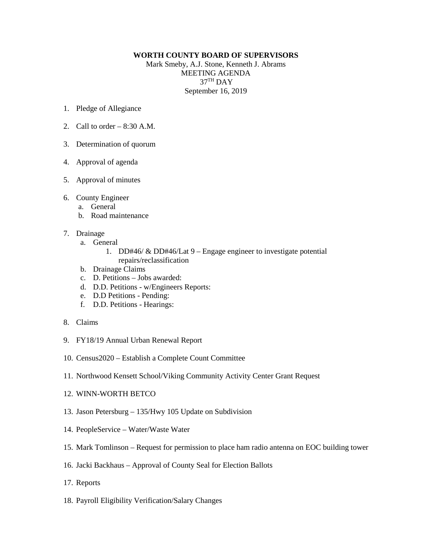## **WORTH COUNTY BOARD OF SUPERVISORS**

Mark Smeby, A.J. Stone, Kenneth J. Abrams MEETING AGENDA 37TH DAY September 16, 2019

- 1. Pledge of Allegiance
- 2. Call to order  $-8:30$  A.M.
- 3. Determination of quorum
- 4. Approval of agenda
- 5. Approval of minutes
- 6. County Engineer
	- a. General
	- b. Road maintenance
- 7. Drainage
	- a. General
		- 1. DD#46/ & DD#46/Lat 9 Engage engineer to investigate potential repairs/reclassification
	- b. Drainage Claims
	- c. D. Petitions Jobs awarded:
	- d. D.D. Petitions w/Engineers Reports:
	- e. D.D Petitions Pending:
	- f. D.D. Petitions Hearings:
- 8. Claims
- 9. FY18/19 Annual Urban Renewal Report
- 10. Census2020 Establish a Complete Count Committee
- 11. Northwood Kensett School/Viking Community Activity Center Grant Request
- 12. WINN-WORTH BETCO
- 13. Jason Petersburg 135/Hwy 105 Update on Subdivision
- 14. PeopleService Water/Waste Water
- 15. Mark Tomlinson Request for permission to place ham radio antenna on EOC building tower
- 16. Jacki Backhaus Approval of County Seal for Election Ballots
- 17. Reports
- 18. Payroll Eligibility Verification/Salary Changes